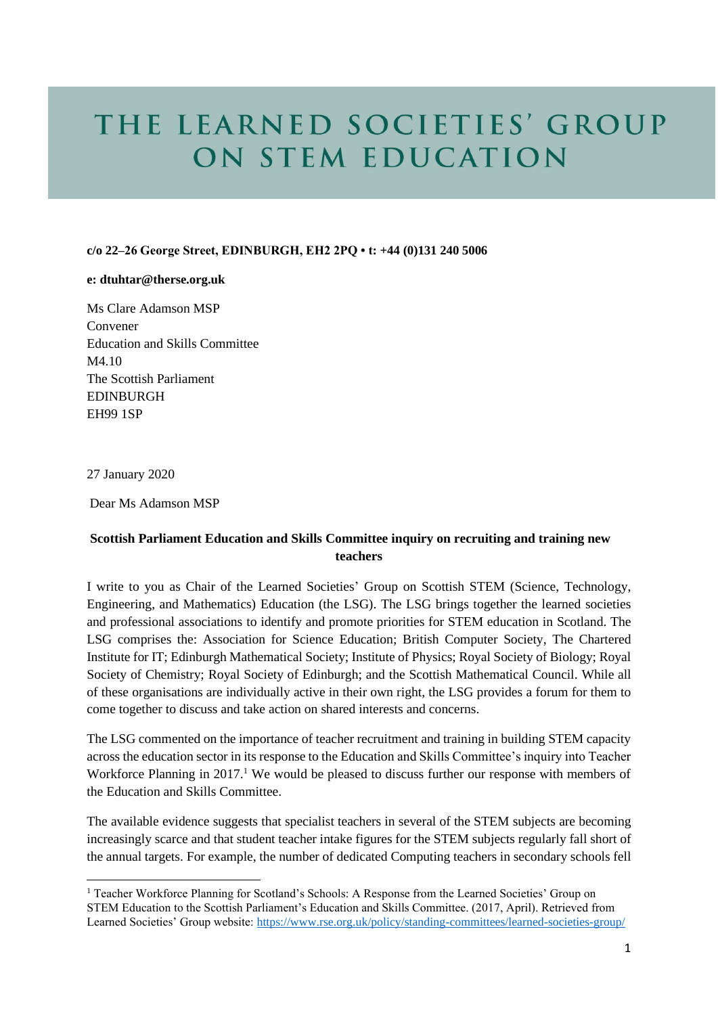# THE LEARNED SOCIETIES' GROUP ON STEM EDUCATION

### **c/o 22–26 George Street, EDINBURGH, EH2 2PQ • t: +44 (0)131 240 5006**

#### **e: dtuhtar@therse.org.uk**

Ms Clare Adamson MSP Convener Education and Skills Committee M4.10 The Scottish Parliament **EDINBURGH** EH99 1SP

27 January 2020

Dear Ms Adamson MSP

# **Scottish Parliament Education and Skills Committee inquiry on recruiting and training new teachers**

I write to you as Chair of the Learned Societies' Group on Scottish STEM (Science, Technology, Engineering, and Mathematics) Education (the LSG). The LSG brings together the learned societies and professional associations to identify and promote priorities for STEM education in Scotland. The LSG comprises the: Association for Science Education; British Computer Society, The Chartered Institute for IT; Edinburgh Mathematical Society; Institute of Physics; Royal Society of Biology; Royal Society of Chemistry; Royal Society of Edinburgh; and the Scottish Mathematical Council. While all of these organisations are individually active in their own right, the LSG provides a forum for them to come together to discuss and take action on shared interests and concerns.

The LSG commented on the importance of teacher recruitment and training in building STEM capacity across the education sector in its response to the Education and Skills Committee's inquiry into Teacher Workforce Planning in 2017.<sup>1</sup> We would be pleased to discuss further our response with members of the Education and Skills Committee.

The available evidence suggests that specialist teachers in several of the STEM subjects are becoming increasingly scarce and that student teacher intake figures for the STEM subjects regularly fall short of the annual targets. For example, the number of dedicated Computing teachers in secondary schools fell

<sup>1</sup> Teacher Workforce Planning for Scotland's Schools: A Response from the Learned Societies' Group on STEM Education to the Scottish Parliament's Education and Skills Committee. (2017, April). Retrieved from Learned Societies' Group website:<https://www.rse.org.uk/policy/standing-committees/learned-societies-group/>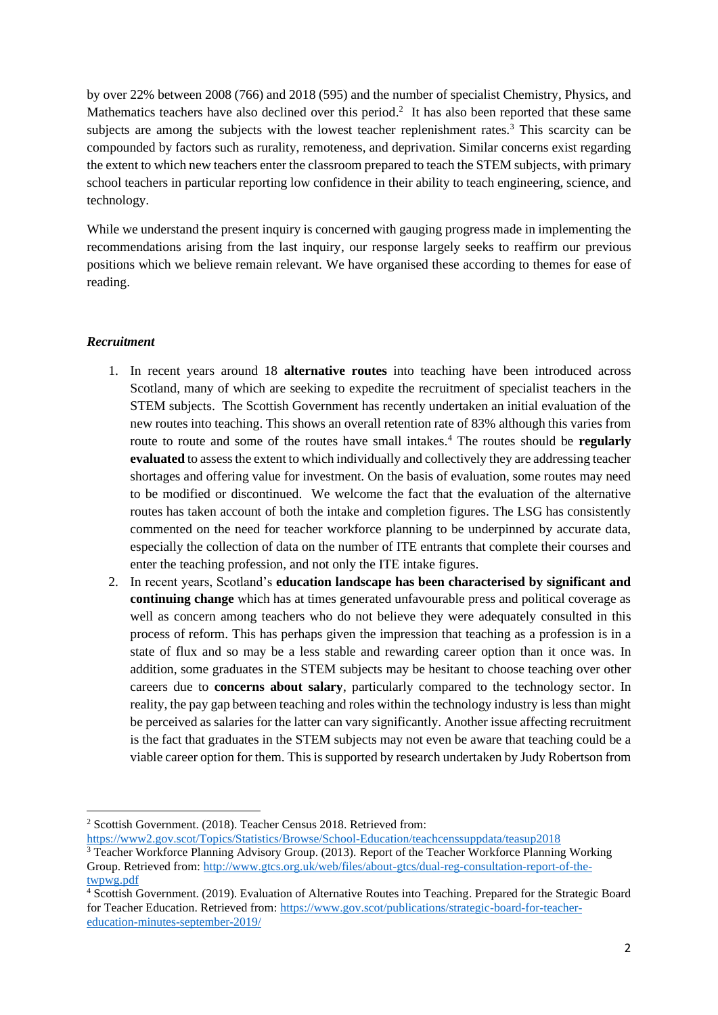by over 22% between 2008 (766) and 2018 (595) and the number of specialist Chemistry, Physics, and Mathematics teachers have also declined over this period.<sup>2</sup> It has also been reported that these same subjects are among the subjects with the lowest teacher replenishment rates.<sup>3</sup> This scarcity can be compounded by factors such as rurality, remoteness, and deprivation. Similar concerns exist regarding the extent to which new teachers enter the classroom prepared to teach the STEM subjects, with primary school teachers in particular reporting low confidence in their ability to teach engineering, science, and technology.

While we understand the present inquiry is concerned with gauging progress made in implementing the recommendations arising from the last inquiry, our response largely seeks to reaffirm our previous positions which we believe remain relevant. We have organised these according to themes for ease of reading.

# *Recruitment*

- 1. In recent years around 18 **alternative routes** into teaching have been introduced across Scotland, many of which are seeking to expedite the recruitment of specialist teachers in the STEM subjects. The Scottish Government has recently undertaken an initial evaluation of the new routes into teaching. This shows an overall retention rate of 83% although this varies from route to route and some of the routes have small intakes.<sup>4</sup> The routes should be **regularly evaluated** to assess the extent to which individually and collectively they are addressing teacher shortages and offering value for investment. On the basis of evaluation, some routes may need to be modified or discontinued. We welcome the fact that the evaluation of the alternative routes has taken account of both the intake and completion figures. The LSG has consistently commented on the need for teacher workforce planning to be underpinned by accurate data, especially the collection of data on the number of ITE entrants that complete their courses and enter the teaching profession, and not only the ITE intake figures.
- 2. In recent years, Scotland's **education landscape has been characterised by significant and continuing change** which has at times generated unfavourable press and political coverage as well as concern among teachers who do not believe they were adequately consulted in this process of reform. This has perhaps given the impression that teaching as a profession is in a state of flux and so may be a less stable and rewarding career option than it once was. In addition, some graduates in the STEM subjects may be hesitant to choose teaching over other careers due to **concerns about salary**, particularly compared to the technology sector. In reality, the pay gap between teaching and roles within the technology industry is less than might be perceived as salaries for the latter can vary significantly. Another issue affecting recruitment is the fact that graduates in the STEM subjects may not even be aware that teaching could be a viable career option for them. This is supported by research undertaken by Judy Robertson from

<sup>2</sup> Scottish Government. (2018). Teacher Census 2018. Retrieved from:

<https://www2.gov.scot/Topics/Statistics/Browse/School-Education/teachcenssuppdata/teasup2018>

<sup>3</sup> Teacher Workforce Planning Advisory Group. (2013). Report of the Teacher Workforce Planning Working Group. Retrieved from[: http://www.gtcs.org.uk/web/files/about-gtcs/dual-reg-consultation-report-of-the](http://www.gtcs.org.uk/web/files/about-gtcs/dual-reg-consultation-report-of-the-twpwg.pdf)[twpwg.pdf](http://www.gtcs.org.uk/web/files/about-gtcs/dual-reg-consultation-report-of-the-twpwg.pdf)

<sup>4</sup> Scottish Government. (2019). Evaluation of Alternative Routes into Teaching. Prepared for the Strategic Board for Teacher Education. Retrieved from: [https://www.gov.scot/publications/strategic-board-for-teacher](https://www.gov.scot/publications/strategic-board-for-teacher-education-minutes-september-2019/)[education-minutes-september-2019/](https://www.gov.scot/publications/strategic-board-for-teacher-education-minutes-september-2019/)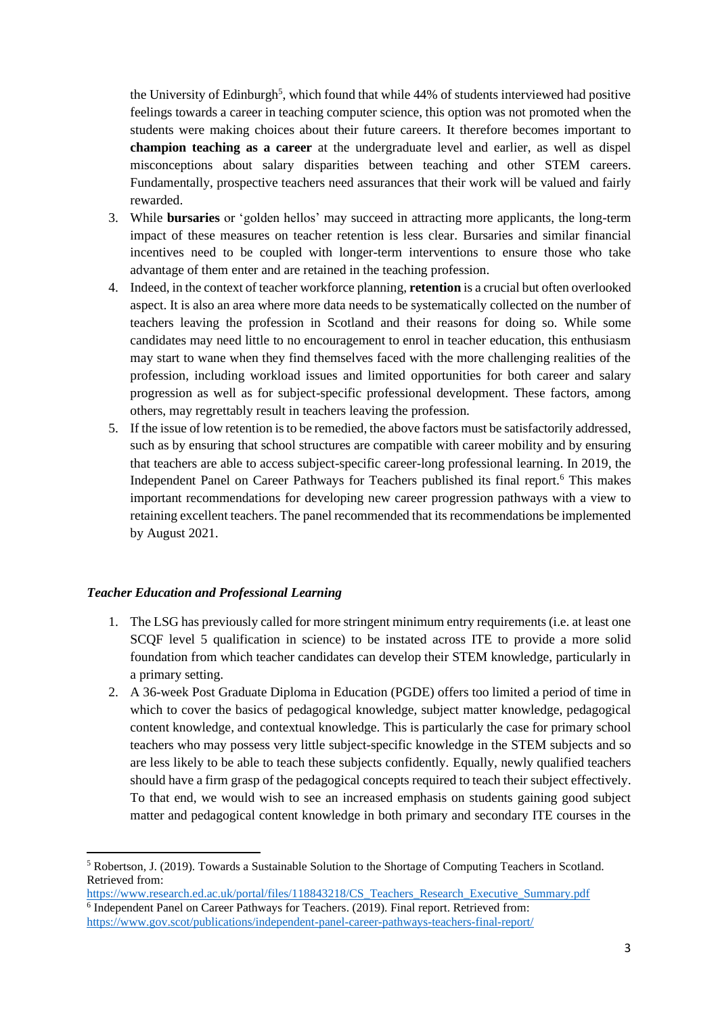the University of Edinburgh<sup>5</sup>, which found that while 44% of students interviewed had positive feelings towards a career in teaching computer science, this option was not promoted when the students were making choices about their future careers. It therefore becomes important to **champion teaching as a career** at the undergraduate level and earlier, as well as dispel misconceptions about salary disparities between teaching and other STEM careers. Fundamentally, prospective teachers need assurances that their work will be valued and fairly rewarded.

- 3. While **bursaries** or 'golden hellos' may succeed in attracting more applicants, the long-term impact of these measures on teacher retention is less clear. Bursaries and similar financial incentives need to be coupled with longer-term interventions to ensure those who take advantage of them enter and are retained in the teaching profession.
- 4. Indeed, in the context of teacher workforce planning, **retention** is a crucial but often overlooked aspect. It is also an area where more data needs to be systematically collected on the number of teachers leaving the profession in Scotland and their reasons for doing so. While some candidates may need little to no encouragement to enrol in teacher education, this enthusiasm may start to wane when they find themselves faced with the more challenging realities of the profession, including workload issues and limited opportunities for both career and salary progression as well as for subject-specific professional development. These factors, among others, may regrettably result in teachers leaving the profession.
- 5. If the issue of low retention is to be remedied, the above factors must be satisfactorily addressed, such as by ensuring that school structures are compatible with career mobility and by ensuring that teachers are able to access subject-specific career-long professional learning. In 2019, the Independent Panel on Career Pathways for Teachers published its final report.<sup>6</sup> This makes important recommendations for developing new career progression pathways with a view to retaining excellent teachers. The panel recommended that its recommendations be implemented by August 2021.

#### *Teacher Education and Professional Learning*

- 1. The LSG has previously called for more stringent minimum entry requirements (i.e. at least one SCQF level 5 qualification in science) to be instated across ITE to provide a more solid foundation from which teacher candidates can develop their STEM knowledge, particularly in a primary setting.
- 2. A 36-week Post Graduate Diploma in Education (PGDE) offers too limited a period of time in which to cover the basics of pedagogical knowledge, subject matter knowledge, pedagogical content knowledge, and contextual knowledge. This is particularly the case for primary school teachers who may possess very little subject-specific knowledge in the STEM subjects and so are less likely to be able to teach these subjects confidently. Equally, newly qualified teachers should have a firm grasp of the pedagogical concepts required to teach their subject effectively. To that end, we would wish to see an increased emphasis on students gaining good subject matter and pedagogical content knowledge in both primary and secondary ITE courses in the

[https://www.research.ed.ac.uk/portal/files/118843218/CS\\_Teachers\\_Research\\_Executive\\_Summary.pdf](https://www.research.ed.ac.uk/portal/files/118843218/CS_Teachers_Research_Executive_Summary.pdf) <sup>6</sup> Independent Panel on Career Pathways for Teachers. (2019). Final report. Retrieved from: <https://www.gov.scot/publications/independent-panel-career-pathways-teachers-final-report/>

<sup>5</sup> Robertson, J. (2019). Towards a Sustainable Solution to the Shortage of Computing Teachers in Scotland. Retrieved from: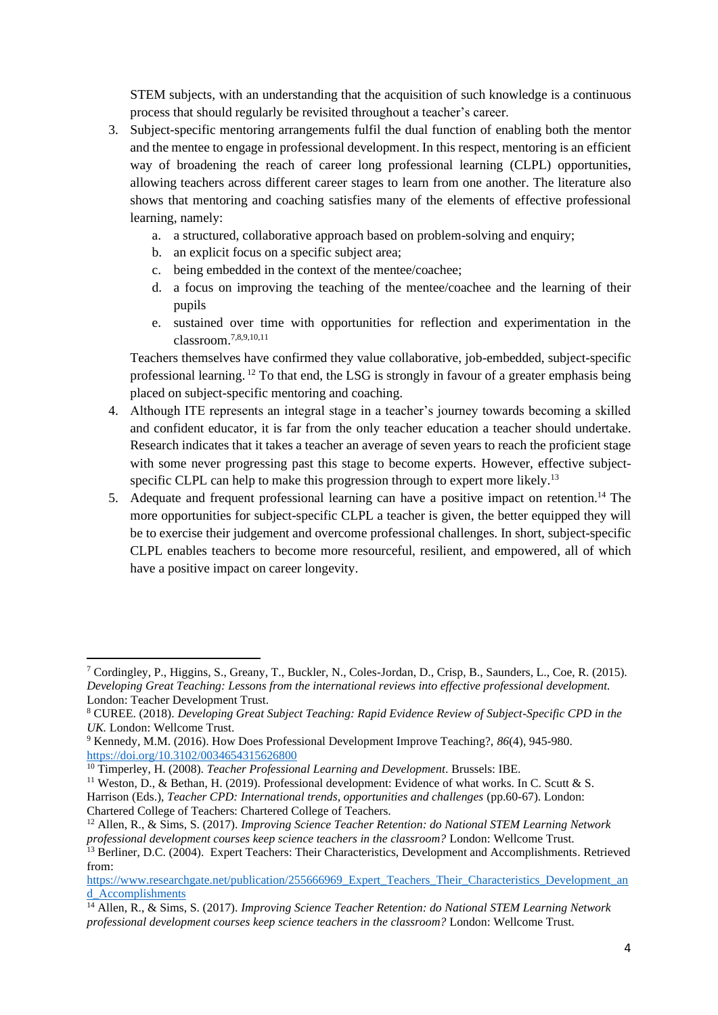STEM subjects, with an understanding that the acquisition of such knowledge is a continuous process that should regularly be revisited throughout a teacher's career.

- 3. Subject-specific mentoring arrangements fulfil the dual function of enabling both the mentor and the mentee to engage in professional development. In this respect, mentoring is an efficient way of broadening the reach of career long professional learning (CLPL) opportunities, allowing teachers across different career stages to learn from one another. The literature also shows that mentoring and coaching satisfies many of the elements of effective professional learning, namely:
	- a. a structured, collaborative approach based on problem-solving and enquiry;
	- b. an explicit focus on a specific subject area;
	- c. being embedded in the context of the mentee/coachee;
	- d. a focus on improving the teaching of the mentee/coachee and the learning of their pupils
	- e. sustained over time with opportunities for reflection and experimentation in the classroom.7,8,9,10,11

Teachers themselves have confirmed they value collaborative, job-embedded, subject-specific professional learning. <sup>12</sup> To that end, the LSG is strongly in favour of a greater emphasis being placed on subject-specific mentoring and coaching.

- 4. Although ITE represents an integral stage in a teacher's journey towards becoming a skilled and confident educator, it is far from the only teacher education a teacher should undertake. Research indicates that it takes a teacher an average of seven years to reach the proficient stage with some never progressing past this stage to become experts. However, effective subjectspecific CLPL can help to make this progression through to expert more likely.<sup>13</sup>
- 5. Adequate and frequent professional learning can have a positive impact on retention.<sup>14</sup> The more opportunities for subject-specific CLPL a teacher is given, the better equipped they will be to exercise their judgement and overcome professional challenges. In short, subject-specific CLPL enables teachers to become more resourceful, resilient, and empowered, all of which have a positive impact on career longevity.

<sup>7</sup> Cordingley, P., Higgins, S., Greany, T., Buckler, N., Coles-Jordan, D., Crisp, B., Saunders, L., Coe, R. (2015). *Developing Great Teaching: Lessons from the international reviews into effective professional development.*  London: Teacher Development Trust.

<sup>8</sup> CUREE. (2018). *Developing Great Subject Teaching: Rapid Evidence Review of Subject-Specific CPD in the UK.* London: Wellcome Trust.

<sup>9</sup> Kennedy, M.M. (2016). How Does Professional Development Improve Teaching?, *86*(4), 945-980. <https://doi.org/10.3102/0034654315626800>

<sup>10</sup> Timperley, H. (2008). *Teacher Professional Learning and Development*. Brussels: IBE.

<sup>&</sup>lt;sup>11</sup> Weston, D., & Bethan, H. (2019). Professional development: Evidence of what works. In C. Scutt & S. Harrison (Eds.), *Teacher CPD: International trends, opportunities and challenges* (pp.60-67). London:

Chartered College of Teachers: Chartered College of Teachers.

<sup>12</sup> Allen, R., & Sims, S. (2017). *Improving Science Teacher Retention: do National STEM Learning Network professional development courses keep science teachers in the classroom?* London: Wellcome Trust.

<sup>&</sup>lt;sup>13</sup> Berliner, D.C. (2004). Expert Teachers: Their Characteristics, Development and Accomplishments. Retrieved from:

https://www.researchgate.net/publication/255666969 Expert Teachers Their Characteristics Development an [d\\_Accomplishments](https://www.researchgate.net/publication/255666969_Expert_Teachers_Their_Characteristics_Development_and_Accomplishments)

<sup>14</sup> Allen, R., & Sims, S. (2017). *Improving Science Teacher Retention: do National STEM Learning Network professional development courses keep science teachers in the classroom?* London: Wellcome Trust.